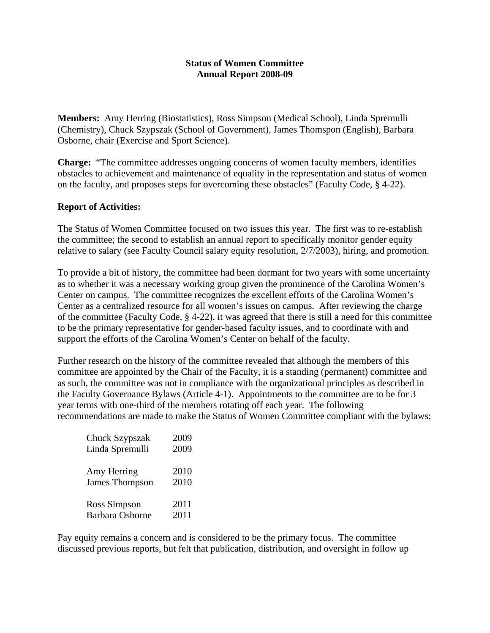## **Status of Women Committee Annual Report 2008-09**

**Members:** Amy Herring (Biostatistics), Ross Simpson (Medical School), Linda Spremulli (Chemistry), Chuck Szypszak (School of Government), James Thomspon (English), Barbara Osborne, chair (Exercise and Sport Science).

**Charge:** "The committee addresses ongoing concerns of women faculty members, identifies obstacles to achievement and maintenance of equality in the representation and status of women on the faculty, and proposes steps for overcoming these obstacles" (Faculty Code, § 4-22).

## **Report of Activities:**

The Status of Women Committee focused on two issues this year. The first was to re-establish the committee; the second to establish an annual report to specifically monitor gender equity relative to salary (see Faculty Council salary equity resolution, 2/7/2003), hiring, and promotion.

To provide a bit of history, the committee had been dormant for two years with some uncertainty as to whether it was a necessary working group given the prominence of the Carolina Women's Center on campus. The committee recognizes the excellent efforts of the Carolina Women's Center as a centralized resource for all women's issues on campus. After reviewing the charge of the committee (Faculty Code, § 4-22), it was agreed that there is still a need for this committee to be the primary representative for gender-based faculty issues, and to coordinate with and support the efforts of the Carolina Women's Center on behalf of the faculty.

Further research on the history of the committee revealed that although the members of this committee are appointed by the Chair of the Faculty, it is a standing (permanent) committee and as such, the committee was not in compliance with the organizational principles as described in the Faculty Governance Bylaws (Article 4-1). Appointments to the committee are to be for 3 year terms with one-third of the members rotating off each year. The following recommendations are made to make the Status of Women Committee compliant with the bylaws:

| Chuck Szypszak         | 2009 |
|------------------------|------|
| Linda Spremulli        | 2009 |
|                        |      |
| Amy Herring            | 2010 |
| James Thompson         | 2010 |
|                        |      |
| Ross Simpson           | 2011 |
| <b>Barbara Osborne</b> | 2011 |

Pay equity remains a concern and is considered to be the primary focus. The committee discussed previous reports, but felt that publication, distribution, and oversight in follow up